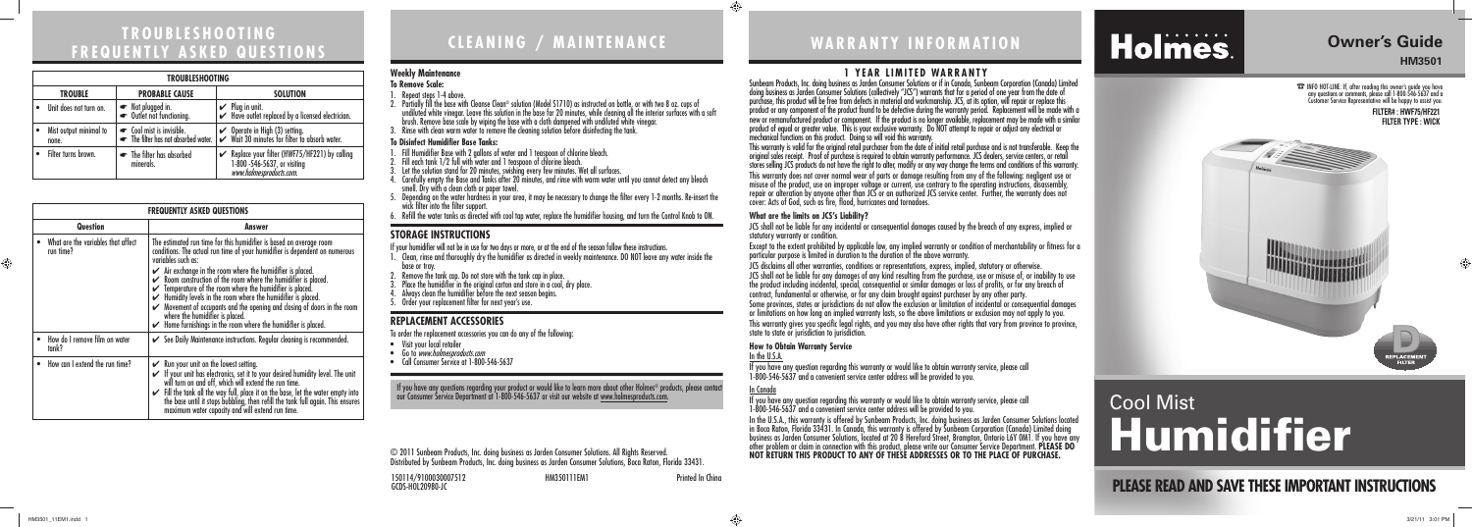150114/9100030007512 HM350111EM1 Printed In China GCDS-HOL20980-JC



⊕

# **WARRANTY INFORMATION**

© 2011 Sunbeam Products, Inc. doing business as Jarden Consumer Solutions. All Rights Reserved. Distributed by Sunbeam Products, Inc. doing business as Jarden Consumer Solutions, Boca Raton, Florida 33431.

# **1 YEAR LIMITED WARRANTY**

Sunbeam Products, Inc. doing business as Jarden Consumer Solutions or if in Canada, Sunbeam Corporation (Canada) Limited doing business as Jarden Consumer Solutions (collectively "JCS") warrants that for a period of one year from the date of purchase, this product will be free from defects in material and workmanship. JCS, at its option, will repair or replace this product or any component of the product found to be defective during the warranty period. Replacement will be made with a new or remanufactured product or component. If the product is no longer available, replacement may be made with a similar product of equal or greater value. This is your exclusive warranty. Do NOT attempt to repair or adjust any electrical or mechanical functions on this product. Doing so will void this warranty.

This warranty is valid for the original retail purchaser from the date of initial retail purchase and is not transferable. Keep the<br>original sales receipt. Proof of purchase is required to obtain warranty performance. JCS stores selling JCS products do not have the right to alter, modify or any way change the terms and conditions of this warranty. This warranty does not cover normal wear of parts or damage resulting from any of the following: negligent use or misuse of the product, use on improper voltage or current, use contrary to the operating instructions, disassembly, repair or alteration by anyone other than JCS or an authorized JCS service center. Further, the warranty does not cover: Acts of God, such as fire, flood, hurricanes and tornadoes.

### **What are the limits on JCS's Liability?**

JCS shall not be liable for any incidental or consequential damages caused by the breach of any express, implied or

Except to the extent prohibited by applicable law, any implied warranty or condition of merchantability or fitness for a particular purpose is limited in duration to the duration of the above warranty.

statutory warranty or condition. state to state or jurisdiction to jurisdiction.

- JCS disclaims all other warranties, conditions or representations, express, implied, statutory or otherwise.
- JCS shall not be liable for any damages of any kind resulting from the purchase, use or misuse of, or inability to use the product including incidental, special, consequential or similar damages or loss of profits, or for any breach of contract, fundamental or otherwise, or for any claim brought against purchaser by any other party.
- Some provinces, states or jurisdictions do not allow the exclusion or limitation of incidental or consequential damages or limitations on how long an implied warranty lasts, so the above limitations or exclusion may not apply to you. This warranty gives you specific legal rights, and you may also have other rights that vary from province to province,

#### **How to Obtain Warranty Service** In the U.S.A.

If you have any question regarding this warranty or would like to obtain warranty service, please call 1-800-546-5637 and a convenient service center address will be provided to you.

## In Canada

If you have any question regarding this warranty or would like to obtain warranty service, please call 1-800-546-5637 and a convenient service center address will be provided to you.

- 1. Clean, rinse and thoroughly dry the humidifier as directed in weekly maintenance. DO NOT leave any water inside the<br>base or tray.<br>2. Remove the tank cap. Do not store with the tank cap in place.
- 
- 3. Place the humidifier in the original carton and store in a cool, dry place.
- 4. Always clean the humidifier before the next season begins.
- 5. Order your replacement filter for next year's use.

In the U.S.A., this warranty is offered by Sunbeam Products, Inc. doing business as Jarden Consumer Solutions located in Boca Raton, Florida 33431. In Canada, this warranty is offered by Sunbeam Corporation (Canada) Limited doing business as Jarden Consumer Solutions, located at 20 B Hereford Street, Brampton, Ontario L6Y 0M1. If you have any other problem or claim in connection with this product, please write our Consumer Service Department. **PLEASE DO NOT RETURN THIS PRODUCT TO ANY OF THESE ADDRESSES OR TO THE PLACE OF PURCHASE.** 

# Holmes.

- Visit your local retailer
- Go to www.holmesproducts.com
- Call Consumer Service at 1-800-546-5637

If you have any questions regarding your product or would like to learn more about other Holmes® products, please contact our Consumer Service Department at 1-800-546-5637 or visit our website at <u>www.holmesproducts.com</u>.

# **TROUBLESHOOTING FREQUENTLY ASKED QUESTIONS**

|          | <b>FREQUENTLY ASKED QUESTIONS</b>               |                                                                                                                                                                                                                                                                                                                                                                                                                                                                                                                                                                                                                                                      |  |
|----------|-------------------------------------------------|------------------------------------------------------------------------------------------------------------------------------------------------------------------------------------------------------------------------------------------------------------------------------------------------------------------------------------------------------------------------------------------------------------------------------------------------------------------------------------------------------------------------------------------------------------------------------------------------------------------------------------------------------|--|
| Question |                                                 | Answer                                                                                                                                                                                                                                                                                                                                                                                                                                                                                                                                                                                                                                               |  |
|          | What are the variables that affect<br>run time? | The estimated run time for this humidifier is based on average room<br>conditions. The actual run time of your humidifier is dependent on numerous<br>variables such as:<br>$\swarrow$ Air exchange in the room where the humidifier is placed.<br>$\swarrow$ Room construction of the room where the humidifier is placed.<br>Temperature of the room where the humidifier is placed.<br>Humidity levels in the room where the humidifier is placed.<br>V<br>Movement of occupants and the opening and closing of doors in the room<br>where the humidifier is placed.<br>$\checkmark$ Home furnishings in the room where the humidifier is placed. |  |
|          | How do I remove film on water<br>tank?          | $\checkmark$ See Daily Maintenance instructions. Regular cleaning is recommended.                                                                                                                                                                                                                                                                                                                                                                                                                                                                                                                                                                    |  |
|          | How can I extend the run time?                  | $\mathcal V$ Run your unit on the lowest setting.<br>If your unit has electronics, set it to your desired humidity level. The unit<br>will turn on and off, which will extend the run time.<br>Fill the tank all the way full, place it on the base, let the water empty into<br>the base until it stops bubbling, then refill the tank full again. This ensures<br>maximum water capacity and will extend run time.                                                                                                                                                                                                                                 |  |

| TROUBLESHOOTING |                                         |                                                                 |                                                                                                         |  |
|-----------------|-----------------------------------------|-----------------------------------------------------------------|---------------------------------------------------------------------------------------------------------|--|
|                 | <b>PROBABLE CAUSE</b><br><b>TROUBLE</b> |                                                                 | <b>SOLUTION</b>                                                                                         |  |
|                 | Unit does not turn on.                  | ► Not plugged in.<br>► Outlet not functioning.                  | $\mathcal V$ Plug in unit.<br>Have outlet replaced by a licensed electrician.                           |  |
|                 | Mist output minimal to<br>none.         | • Cool mist is invisible.<br>The filter has not absorbed water. | $\checkmark$ Operate in High (3) setting.<br>$\checkmark$ Wait 30 minutes for filter to absorb water.   |  |
|                 | Filter turns brown.                     | The filter has absorbed<br>minerals.                            | Replace your filter (HWF75/HF221) by calling<br>1-800 -546-5637, or visiting<br>www.holmesproducts.com. |  |

# **CLEANING / MAINTENANCE**

# **Weekly Maintenance**

- **To Remove Scale:**
- 1. Repeat steps 1-4 above.
- 2. Partially till the base with Cleanse Clean® solution (Model S1710) as instructed on bottle, or with two 8 oz. cups ot<br>4 undiluted white vinegar. Leave this solution in the base for 20 minutes, while cleaning all the i brush. Remove base scale by wiping the base with a cloth dampened with undiluted white vinegar.
- 3. Rinse with clean warm water to remove the cleaning solution before disinfecting the tank.

# **To Disinfect Humidifier Base Tanks:**

- 1. Fill Humidifier Base with 2 gallons of water and 1 teaspoon of chlorine bleach.
- 2. Fill each tank 1/2 full with water and 1 teaspoon of chlorine bleach.
- 3. Let the solution stand for 20 minutes, swishing every few minutes. Wet all surfaces.
- 4. Carefully empty the Base and Tanks after 20 minutes, and rinse with warm water until you cannot detect any bleach<br>smell. Dry with a clean cloth or paper towel.
- 5. Depending on the water hardness in your area, it may be necessary to change the filter every 1-2 months. Re-insert the<br>wick filter into the filter support
- 6. Refill the water tanks as directed with cool tap water, replace the humidifier housing, and turn the Control Knob to ON.

# **STORAGE INSTRUCTIONS**

If your humidifier will not be in use for two days or more, or at the end of the season follow these instructions.<br>I. Clean, rinse and thoroughly dry the humidifier as directed in weekly maintenance. DO NOT leave any wa

# **REPLACEMENT ACCESSORIES**

To order the replacement accessories you can do any of the following:

# **Owner's Guide HM3501**

☎ INFO HOT-LINE: If, after reading this owner's guide you have any questions or comments, please call 1-800-546-5637 and a Customer Service Representative will be happy to assist you.

# Cool Mist **Humidifier**

**FILTER# : HWF75/HF221 FILTER TYPE : WICK**

 $\bigoplus$ 



# **PLEASE READ AND SAVE THESE IMPORTANT INSTRUCTIONS**